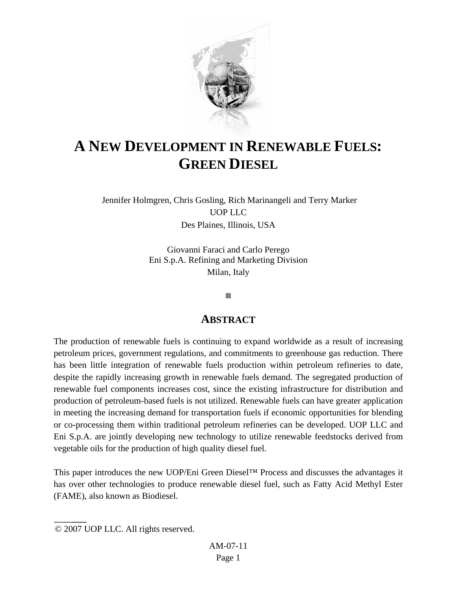

# **A NEW DEVELOPMENT IN RENEWABLE FUELS: GREEN DIESEL**

 Jennifer Holmgren, Chris Gosling, Rich Marinangeli and Terry Marker UOP LLC Des Plaines, Illinois, USA

> Giovanni Faraci and Carlo Perego Eni S.p.A. Refining and Marketing Division Milan, Italy

#### T.

### **ABSTRACT**

The production of renewable fuels is continuing to expand worldwide as a result of increasing petroleum prices, government regulations, and commitments to greenhouse gas reduction. There has been little integration of renewable fuels production within petroleum refineries to date, despite the rapidly increasing growth in renewable fuels demand. The segregated production of renewable fuel components increases cost, since the existing infrastructure for distribution and production of petroleum-based fuels is not utilized. Renewable fuels can have greater application in meeting the increasing demand for transportation fuels if economic opportunities for blending or co-processing them within traditional petroleum refineries can be developed. UOP LLC and Eni S.p.A. are jointly developing new technology to utilize renewable feedstocks derived from vegetable oils for the production of high quality diesel fuel.

This paper introduces the new UOP/Eni Green Diesel™ Process and discusses the advantages it has over other technologies to produce renewable diesel fuel, such as Fatty Acid Methyl Ester (FAME), also known as Biodiesel.

<sup>© 2007</sup> UOP LLC. All rights reserved.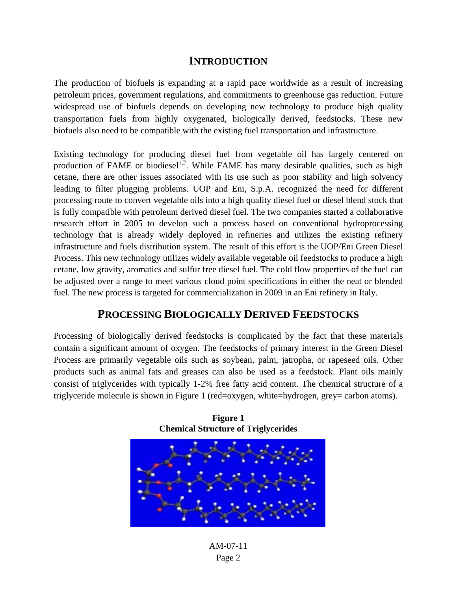### **INTRODUCTION**

The production of biofuels is expanding at a rapid pace worldwide as a result of increasing petroleum prices, government regulations, and commitments to greenhouse gas reduction. Future widespread use of biofuels depends on developing new technology to produce high quality transportation fuels from highly oxygenated, biologically derived, feedstocks. These new biofuels also need to be compatible with the existing fuel transportation and infrastructure.

Existing technology for producing diesel fuel from vegetable oil has largely centered on production of FAME or biodiesel<sup>1,2</sup>. While FAME has many desirable qualities, such as high cetane, there are other issues associated with its use such as poor stability and high solvency leading to filter plugging problems. UOP and Eni, S.p.A. recognized the need for different processing route to convert vegetable oils into a high quality diesel fuel or diesel blend stock that is fully compatible with petroleum derived diesel fuel. The two companies started a collaborative research effort in 2005 to develop such a process based on conventional hydroprocessing technology that is already widely deployed in refineries and utilizes the existing refinery infrastructure and fuels distribution system. The result of this effort is the UOP/Eni Green Diesel Process. This new technology utilizes widely available vegetable oil feedstocks to produce a high cetane, low gravity, aromatics and sulfur free diesel fuel. The cold flow properties of the fuel can be adjusted over a range to meet various cloud point specifications in either the neat or blended fuel. The new process is targeted for commercialization in 2009 in an Eni refinery in Italy.

### **PROCESSING BIOLOGICALLY DERIVED FEEDSTOCKS**

Processing of biologically derived feedstocks is complicated by the fact that these materials contain a significant amount of oxygen. The feedstocks of primary interest in the Green Diesel Process are primarily vegetable oils such as soybean, palm, jatropha, or rapeseed oils. Other products such as animal fats and greases can also be used as a feedstock. Plant oils mainly consist of triglycerides with typically 1-2% free fatty acid content. The chemical structure of a triglyceride molecule is shown in Figure 1 (red=oxygen, white=hydrogen, grey= carbon atoms).



**Figure 1 Chemical Structure of Triglycerides** 

AM-07-11 Page 2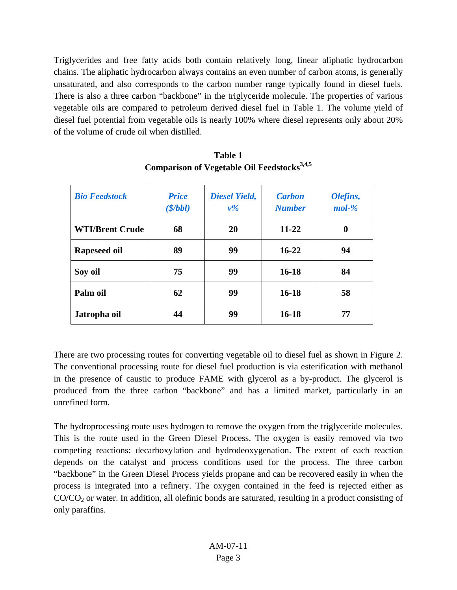Triglycerides and free fatty acids both contain relatively long, linear aliphatic hydrocarbon chains. The aliphatic hydrocarbon always contains an even number of carbon atoms, is generally unsaturated, and also corresponds to the carbon number range typically found in diesel fuels. There is also a three carbon "backbone" in the triglyceride molecule. The properties of various vegetable oils are compared to petroleum derived diesel fuel in Table 1. The volume yield of diesel fuel potential from vegetable oils is nearly 100% where diesel represents only about 20% of the volume of crude oil when distilled.

| <b>Bio Feedstock</b>   | <b>Price</b><br>(S/bbl) | <b>Diesel Yield,</b><br>$v\%$ | <b>Carbon</b><br><b>Number</b> | Olefins,<br>$mol-%$ |
|------------------------|-------------------------|-------------------------------|--------------------------------|---------------------|
| <b>WTI/Brent Crude</b> | 68                      | 20                            | 11-22                          | 0                   |
| Rapeseed oil           | 89                      | 99                            | $16 - 22$                      | 94                  |
| Soy oil                | 75                      | 99                            | $16 - 18$                      | 84                  |
| Palm oil               | 62                      | 99                            | $16 - 18$                      | 58                  |
| Jatropha oil           | 44                      | 99                            | $16-18$                        | 77                  |

**Table 1**  Comparison of Vegetable Oil Feedstocks<sup>3,4,5</sup>

There are two processing routes for converting vegetable oil to diesel fuel as shown in Figure 2. The conventional processing route for diesel fuel production is via esterification with methanol in the presence of caustic to produce FAME with glycerol as a by-product. The glycerol is produced from the three carbon "backbone" and has a limited market, particularly in an unrefined form.

The hydroprocessing route uses hydrogen to remove the oxygen from the triglyceride molecules. This is the route used in the Green Diesel Process. The oxygen is easily removed via two competing reactions: decarboxylation and hydrodeoxygenation. The extent of each reaction depends on the catalyst and process conditions used for the process. The three carbon "backbone" in the Green Diesel Process yields propane and can be recovered easily in when the process is integrated into a refinery. The oxygen contained in the feed is rejected either as  $CO/CO<sub>2</sub>$  or water. In addition, all olefinic bonds are saturated, resulting in a product consisting of only paraffins.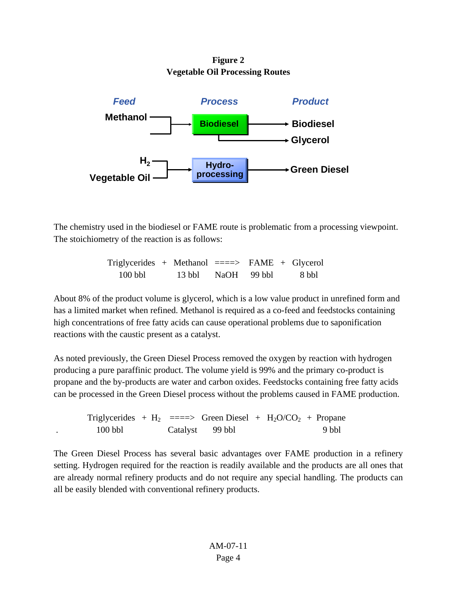**Figure 2 Vegetable Oil Processing Routes** 



The chemistry used in the biodiesel or FAME route is problematic from a processing viewpoint. The stoichiometry of the reaction is as follows:

| Triglycerides + Methanol $\equiv \equiv \equiv \rangle$ FAME + Glycerol |                    |  |       |
|-------------------------------------------------------------------------|--------------------|--|-------|
| $100$ bbl                                                               | 13 bbl NaOH 99 bbl |  | 8 bbl |

About 8% of the product volume is glycerol, which is a low value product in unrefined form and has a limited market when refined. Methanol is required as a co-feed and feedstocks containing high concentrations of free fatty acids can cause operational problems due to saponification reactions with the caustic present as a catalyst.

As noted previously, the Green Diesel Process removed the oxygen by reaction with hydrogen producing a pure paraffinic product. The volume yield is 99% and the primary co-product is propane and the by-products are water and carbon oxides. Feedstocks containing free fatty acids can be processed in the Green Diesel process without the problems caused in FAME production.

Triglycerides +  $H_2$  ===> Green Diesel +  $H_2O/CO_2$  + Propane . 100 bbl Catalyst 99 bbl 9 bbl 9 bbl

The Green Diesel Process has several basic advantages over FAME production in a refinery setting. Hydrogen required for the reaction is readily available and the products are all ones that are already normal refinery products and do not require any special handling. The products can all be easily blended with conventional refinery products.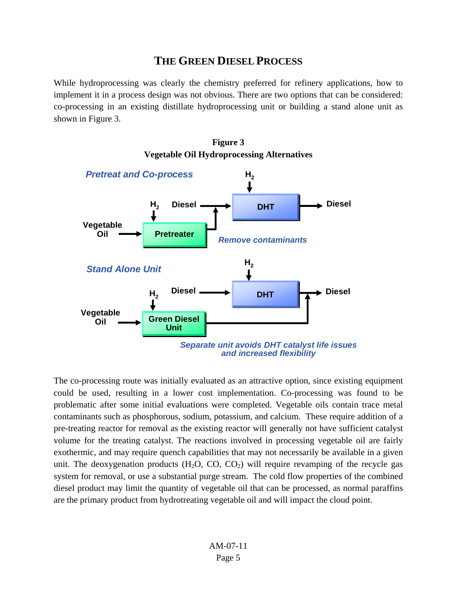### **THE GREEN DIESEL PROCESS**

While hydroprocessing was clearly the chemistry preferred for refinery applications, how to implement it in a process design was not obvious. There are two options that can be considered: co-processing in an existing distillate hydroprocessing unit or building a stand alone unit as shown in Figure 3.





The co-processing route was initially evaluated as an attractive option, since existing equipment could be used, resulting in a lower cost implementation. Co-processing was found to be problematic after some initial evaluations were completed. Vegetable oils contain trace metal contaminants such as phosphorous, sodium, potassium, and calcium. These require addition of a pre-treating reactor for removal as the existing reactor will generally not have sufficient catalyst volume for the treating catalyst. The reactions involved in processing vegetable oil are fairly exothermic, and may require quench capabilities that may not necessarily be available in a given unit. The deoxygenation products  $(H_2O, CO, CO_2)$  will require revamping of the recycle gas system for removal, or use a substantial purge stream. The cold flow properties of the combined diesel product may limit the quantity of vegetable oil that can be processed, as normal paraffins are the primary product from hydrotreating vegetable oil and will impact the cloud point.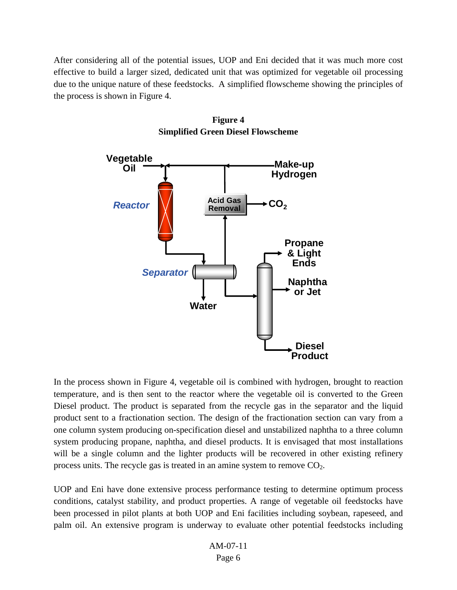After considering all of the potential issues, UOP and Eni decided that it was much more cost effective to build a larger sized, dedicated unit that was optimized for vegetable oil processing due to the unique nature of these feedstocks. A simplified flowscheme showing the principles of the process is shown in Figure 4.



**Figure 4 Simplified Green Diesel Flowscheme** 

In the process shown in Figure 4, vegetable oil is combined with hydrogen, brought to reaction temperature, and is then sent to the reactor where the vegetable oil is converted to the Green Diesel product. The product is separated from the recycle gas in the separator and the liquid product sent to a fractionation section. The design of the fractionation section can vary from a one column system producing on-specification diesel and unstabilized naphtha to a three column system producing propane, naphtha, and diesel products. It is envisaged that most installations will be a single column and the lighter products will be recovered in other existing refinery process units. The recycle gas is treated in an amine system to remove  $CO<sub>2</sub>$ .

UOP and Eni have done extensive process performance testing to determine optimum process conditions, catalyst stability, and product properties. A range of vegetable oil feedstocks have been processed in pilot plants at both UOP and Eni facilities including soybean, rapeseed, and palm oil. An extensive program is underway to evaluate other potential feedstocks including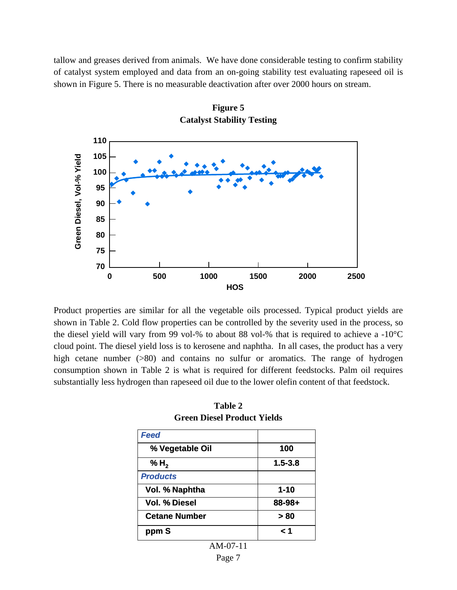tallow and greases derived from animals. We have done considerable testing to confirm stability of catalyst system employed and data from an on-going stability test evaluating rapeseed oil is shown in Figure 5. There is no measurable deactivation after over 2000 hours on stream.



**Figure 5 Catalyst Stability Testing** 

Product properties are similar for all the vegetable oils processed. Typical product yields are shown in Table 2. Cold flow properties can be controlled by the severity used in the process, so the diesel yield will vary from 99 vol-% to about 88 vol-% that is required to achieve a -10°C cloud point. The diesel yield loss is to kerosene and naphtha. In all cases, the product has a very high cetane number (>80) and contains no sulfur or aromatics. The range of hydrogen consumption shown in Table 2 is what is required for different feedstocks. Palm oil requires substantially less hydrogen than rapeseed oil due to the lower olefin content of that feedstock.

| 100         |
|-------------|
| $1.5 - 3.8$ |
|             |
| $1 - 10$    |
| $88 - 98 +$ |
| > 80        |
| 1 ج         |
|             |

**Table 2 Green Diesel Product Yields**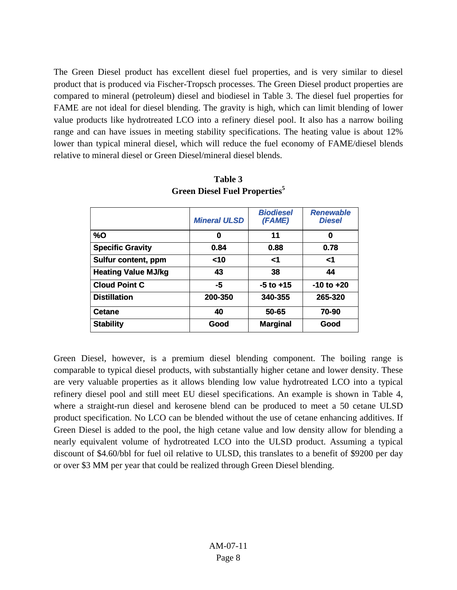The Green Diesel product has excellent diesel fuel properties, and is very similar to diesel product that is produced via Fischer-Tropsch processes. The Green Diesel product properties are compared to mineral (petroleum) diesel and biodiesel in Table 3. The diesel fuel properties for FAME are not ideal for diesel blending. The gravity is high, which can limit blending of lower value products like hydrotreated LCO into a refinery diesel pool. It also has a narrow boiling range and can have issues in meeting stability specifications. The heating value is about 12% lower than typical mineral diesel, which will reduce the fuel economy of FAME/diesel blends relative to mineral diesel or Green Diesel/mineral diesel blends.

|                            | <b>Mineral ULSD</b> | <b>Biodiesel</b><br>(FAME) | <b>Renewable</b><br><b>Diesel</b> |
|----------------------------|---------------------|----------------------------|-----------------------------------|
| %0                         | 0                   | 11                         | 0                                 |
| <b>Specific Gravity</b>    | 0.84                | 0.88                       | 0.78                              |
| Sulfur content, ppm        | $10$                | <1                         | <1                                |
| <b>Heating Value MJ/kg</b> | 43                  | 38                         | 44                                |
| <b>Cloud Point C</b>       | -5                  | $-5$ to $+15$              | $-10$ to $+20$                    |
| <b>Distillation</b>        | 200-350             | 340-355                    | 265-320                           |
| <b>Cetane</b>              | 40                  | 50-65                      | 70-90                             |
| <b>Stability</b>           | Good                | <b>Marginal</b>            | Good                              |

**Table 3 Green Diesel Fuel Properties5**

Green Diesel, however, is a premium diesel blending component. The boiling range is comparable to typical diesel products, with substantially higher cetane and lower density. These are very valuable properties as it allows blending low value hydrotreated LCO into a typical refinery diesel pool and still meet EU diesel specifications. An example is shown in Table 4, where a straight-run diesel and kerosene blend can be produced to meet a 50 cetane ULSD product specification. No LCO can be blended without the use of cetane enhancing additives. If Green Diesel is added to the pool, the high cetane value and low density allow for blending a nearly equivalent volume of hydrotreated LCO into the ULSD product. Assuming a typical discount of \$4.60/bbl for fuel oil relative to ULSD, this translates to a benefit of \$9200 per day or over \$3 MM per year that could be realized through Green Diesel blending.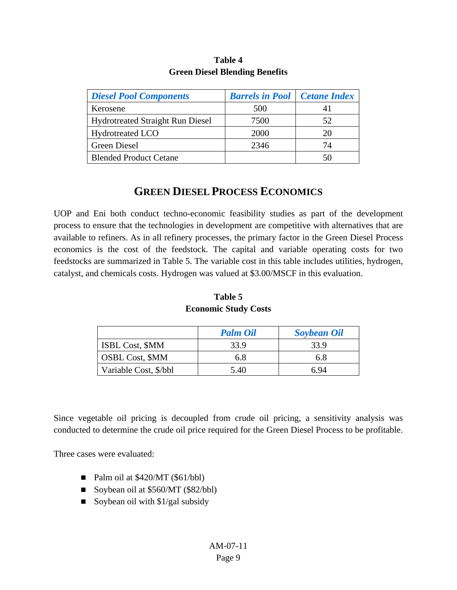| <b>Diesel Pool Components</b>           | <b>Barrels in Pool</b> Cetane Index |     |
|-----------------------------------------|-------------------------------------|-----|
| Kerosene                                | 500                                 | 4 I |
| <b>Hydrotreated Straight Run Diesel</b> | 7500                                | 52  |
| <b>Hydrotreated LCO</b>                 | 2000                                | 20  |
| <b>Green Diesel</b>                     | 2346                                | 74  |
| <b>Blended Product Cetane</b>           |                                     | 50  |

### **Table 4 Green Diesel Blending Benefits**

## **GREEN DIESEL PROCESS ECONOMICS**

UOP and Eni both conduct techno-economic feasibility studies as part of the development process to ensure that the technologies in development are competitive with alternatives that are available to refiners. As in all refinery processes, the primary factor in the Green Diesel Process economics is the cost of the feedstock. The capital and variable operating costs for two feedstocks are summarized in Table 5. The variable cost in this table includes utilities, hydrogen, catalyst, and chemicals costs. Hydrogen was valued at \$3.00/MSCF in this evaluation.

|                        | <b>Palm Oil</b> | <b>Soybean Oil</b> |
|------------------------|-----------------|--------------------|
| <b>ISBL Cost, \$MM</b> | 33.9            | 33.9               |
| <b>OSBL Cost, \$MM</b> | 6.8             | 6.8                |
| Variable Cost, \$/bbl  | 5.40            | 6.94               |

#### **Table 5 Economic Study Costs**

Since vegetable oil pricing is decoupled from crude oil pricing, a sensitivity analysis was conducted to determine the crude oil price required for the Green Diesel Process to be profitable.

Three cases were evaluated:

- Palm oil at  $$420/MT ($61/bbl)$
- Soybean oil at \$560/MT (\$82/bbl)
- Soybean oil with  $\frac{1}{g}$ al subsidy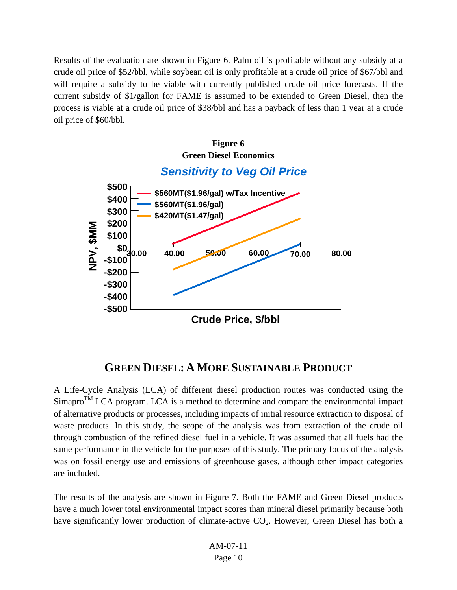Results of the evaluation are shown in Figure 6. Palm oil is profitable without any subsidy at a crude oil price of \$52/bbl, while soybean oil is only profitable at a crude oil price of \$67/bbl and will require a subsidy to be viable with currently published crude oil price forecasts. If the current subsidy of \$1/gallon for FAME is assumed to be extended to Green Diesel, then the process is viable at a crude oil price of \$38/bbl and has a payback of less than 1 year at a crude oil price of \$60/bbl.



### **GREEN DIESEL: AMORE SUSTAINABLE PRODUCT**

A Life-Cycle Analysis (LCA) of different diesel production routes was conducted using the  $Simapro<sup>TM</sup> LCA program. LCA is a method to determine and compare the environmental impact.$ of alternative products or processes, including impacts of initial resource extraction to disposal of waste products. In this study, the scope of the analysis was from extraction of the crude oil through combustion of the refined diesel fuel in a vehicle. It was assumed that all fuels had the same performance in the vehicle for the purposes of this study. The primary focus of the analysis was on fossil energy use and emissions of greenhouse gases, although other impact categories are included.

The results of the analysis are shown in Figure 7. Both the FAME and Green Diesel products have a much lower total environmental impact scores than mineral diesel primarily because both have significantly lower production of climate-active  $CO<sub>2</sub>$ . However, Green Diesel has both a

> AM-07-11 Page 10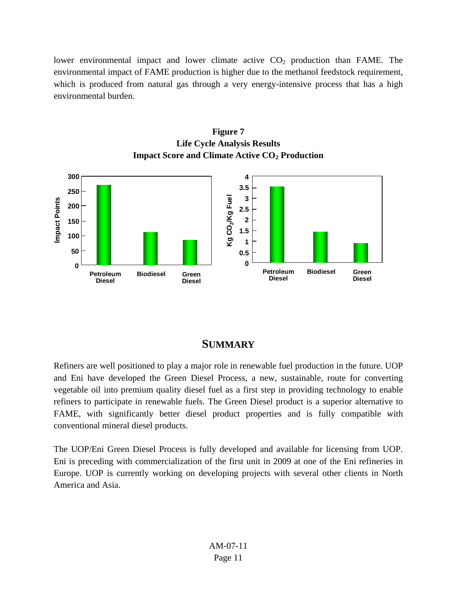lower environmental impact and lower climate active  $CO<sub>2</sub>$  production than FAME. The environmental impact of FAME production is higher due to the methanol feedstock requirement, which is produced from natural gas through a very energy-intensive process that has a high environmental burden.



#### **Figure 7 Life Cycle Analysis Results Impact Score and Climate Active CO2 Production**

### **SUMMARY**

Refiners are well positioned to play a major role in renewable fuel production in the future. UOP and Eni have developed the Green Diesel Process, a new, sustainable, route for converting vegetable oil into premium quality diesel fuel as a first step in providing technology to enable refiners to participate in renewable fuels. The Green Diesel product is a superior alternative to FAME, with significantly better diesel product properties and is fully compatible with conventional mineral diesel products.

The UOP/Eni Green Diesel Process is fully developed and available for licensing from UOP. Eni is preceding with commercialization of the first unit in 2009 at one of the Eni refineries in Europe. UOP is currently working on developing projects with several other clients in North America and Asia.